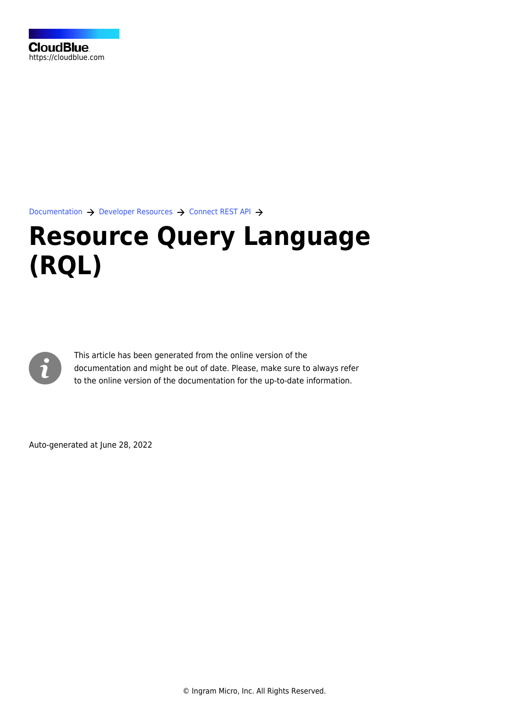

[Documentation](https://connect.cloudblue.com/documentation)  $\rightarrow$  [Developer Resources](https://connect.cloudblue.com/community/developers/)  $\rightarrow$  [Connect REST API](https://connect.cloudblue.com/community/developers/api/)  $\rightarrow$ 

# **[Resource Query Language](https://connect.cloudblue.com/community/developers/api/rql/) [\(RQL\)](https://connect.cloudblue.com/community/developers/api/rql/)**



This article has been generated from the online version of the documentation and might be out of date. Please, make sure to always refer to the online version of the documentation for the up-to-date information.

Auto-generated at June 28, 2022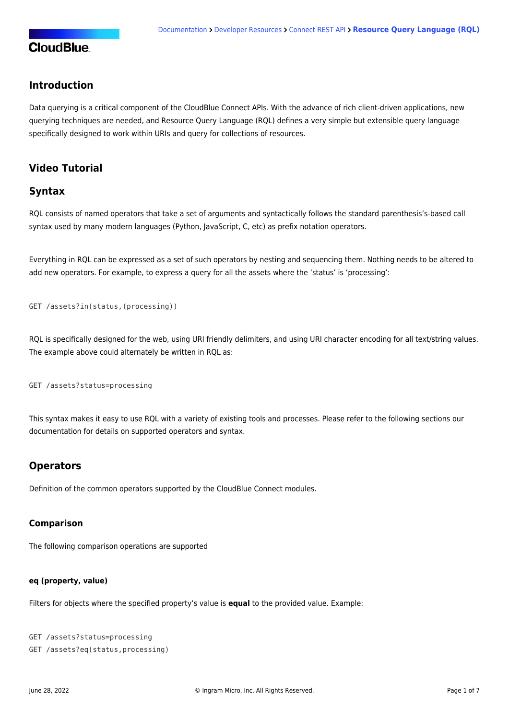## **Introduction**

Data querying is a critical component of the CloudBlue Connect APIs. With the advance of rich client-driven applications, new querying techniques are needed, and Resource Query Language (RQL) defines a very simple but extensible query language specifically designed to work within URIs and query for collections of resources.

# **Video Tutorial**

## **Syntax**

RQL consists of named operators that take a set of arguments and syntactically follows the standard parenthesis's-based call syntax used by many modern languages (Python, JavaScript, C, etc) as prefix notation operators.

Everything in RQL can be expressed as a set of such operators by nesting and sequencing them. Nothing needs to be altered to add new operators. For example, to express a query for all the assets where the 'status' is 'processing':

```
GET /assets?in(status,(processing))
```
RQL is specifically designed for the web, using URI friendly delimiters, and using URI character encoding for all text/string values. The example above could alternately be written in RQL as:

GET /assets?status=processing

This syntax makes it easy to use RQL with a variety of existing tools and processes. Please refer to the following sections our documentation for details on supported operators and syntax.

## **Operators**

Definition of the common operators supported by the CloudBlue Connect modules.

#### **Comparison**

The following comparison operations are supported

#### **eq (property, value)**

Filters for objects where the specified property's value is **equal** to the provided value. Example:

```
GET /assets?status=processing
GET /assets?eq(status,processing)
```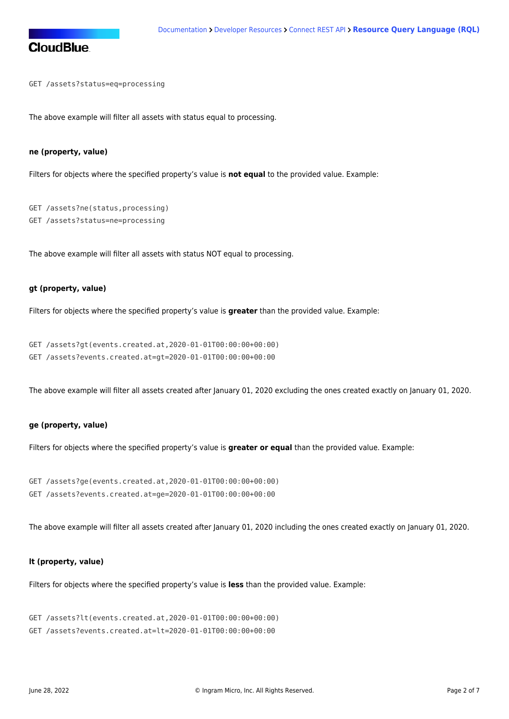GET /assets?status=eq=processing

The above example will filter all assets with status equal to processing.

#### **ne (property, value)**

Filters for objects where the specified property's value is **not equal** to the provided value. Example:

```
GET /assets?ne(status,processing)
GET /assets?status=ne=processing
```
The above example will filter all assets with status NOT equal to processing.

#### **gt (property, value)**

Filters for objects where the specified property's value is **greater** than the provided value. Example:

```
GET /assets?gt(events.created.at,2020-01-01T00:00:00+00:00)
GET /assets?events.created.at=gt=2020-01-01T00:00:00+00:00
```
The above example will filter all assets created after January 01, 2020 excluding the ones created exactly on January 01, 2020.

#### **ge (property, value)**

Filters for objects where the specified property's value is **greater or equal** than the provided value. Example:

```
GET /assets?ge(events.created.at,2020-01-01T00:00:00+00:00)
GET /assets?events.created.at=ge=2020-01-01T00:00:00+00:00
```
The above example will filter all assets created after January 01, 2020 including the ones created exactly on January 01, 2020.

#### **lt (property, value)**

Filters for objects where the specified property's value is **less** than the provided value. Example:

```
GET /assets?lt(events.created.at,2020-01-01T00:00:00+00:00)
GET /assets?events.created.at=lt=2020-01-01T00:00:00+00:00
```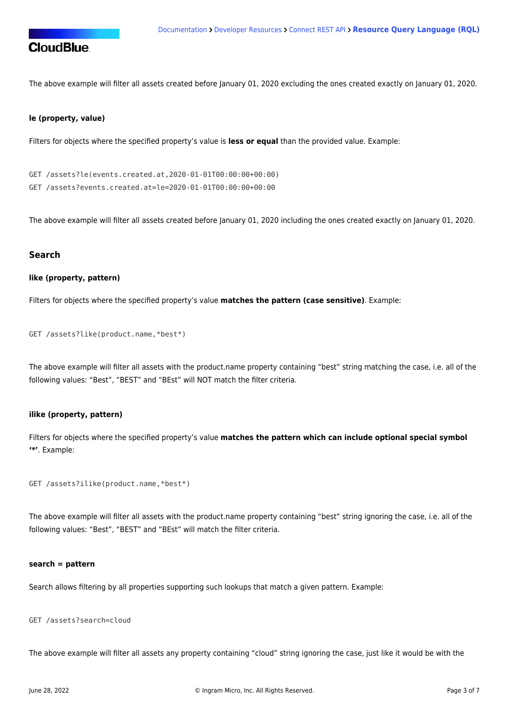

The above example will filter all assets created before January 01, 2020 excluding the ones created exactly on January 01, 2020.

#### **le (property, value)**

Filters for objects where the specified property's value is **less or equal** than the provided value. Example:

```
GET /assets?le(events.created.at,2020-01-01T00:00:00+00:00)
GET /assets?events.created.at=le=2020-01-01T00:00:00+00:00
```
The above example will filter all assets created before January 01, 2020 including the ones created exactly on January 01, 2020.

#### **Search**

#### **like (property, pattern)**

Filters for objects where the specified property's value **matches the pattern (case sensitive)**. Example:

```
GET /assets?like(product.name,*best*)
```
The above example will filter all assets with the product.name property containing "best" string matching the case, i.e. all of the following values: "Best", "BEST" and "BEst" will NOT match the filter criteria.

#### **ilike (property, pattern)**

Filters for objects where the specified property's value **matches the pattern which can include optional special symbol '\*'**. Example:

```
GET /assets?ilike(product.name,*best*)
```
The above example will filter all assets with the product.name property containing "best" string ignoring the case, i.e. all of the following values: "Best", "BEST" and "BEst" will match the filter criteria.

#### **search = pattern**

Search allows filtering by all properties supporting such lookups that match a given pattern. Example:

GET /assets?search=cloud

The above example will filter all assets any property containing "cloud" string ignoring the case, just like it would be with the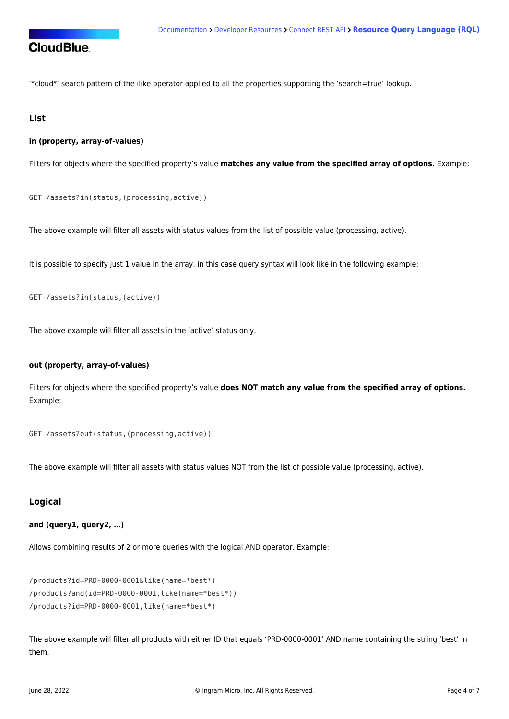'\*cloud\*' search pattern of the ilike operator applied to all the properties supporting the 'search=true' lookup.

### **List**

#### **in (property, array-of-values)**

Filters for objects where the specified property's value **matches any value from the specified array of options.** Example:

```
GET /assets?in(status,(processing,active))
```
The above example will filter all assets with status values from the list of possible value (processing, active).

It is possible to specify just 1 value in the array, in this case query syntax will look like in the following example:

```
GET /assets?in(status,(active))
```
The above example will filter all assets in the 'active' status only.

#### **out (property, array-of-values)**

Filters for objects where the specified property's value **does NOT match any value from the specified array of options.** Example:

```
GET /assets?out(status,(processing,active))
```
The above example will filter all assets with status values NOT from the list of possible value (processing, active).

## **Logical**

**and (query1, query2, …)**

Allows combining results of 2 or more queries with the logical AND operator. Example:

```
/products?id=PRD-0000-0001&like(name=*best*)
/products?and(id=PRD-0000-0001,like(name=*best*))
/products?id=PRD-0000-0001,like(name=*best*)
```
The above example will filter all products with either ID that equals 'PRD-0000-0001' AND name containing the string 'best' in them.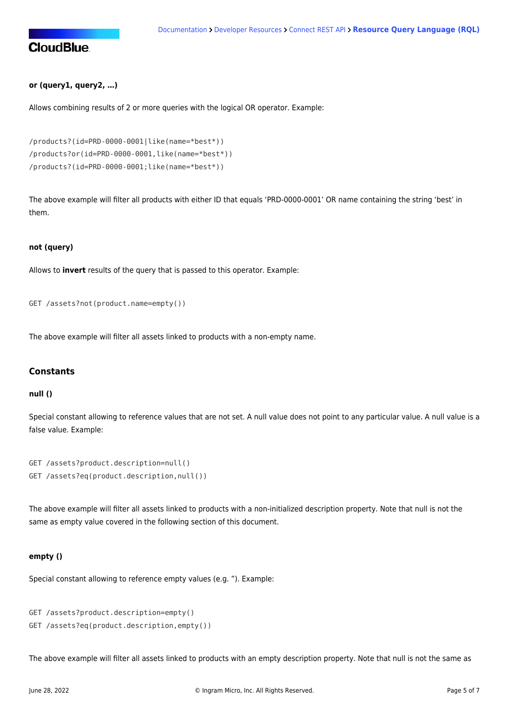#### **or (query1, query2, …)**

Allows combining results of 2 or more queries with the logical OR operator. Example:

```
/products?(id=PRD-0000-0001|like(name=*best*))
/products?or(id=PRD-0000-0001,like(name=*best*))
/products?(id=PRD-0000-0001;like(name=*best*))
```
The above example will filter all products with either ID that equals 'PRD-0000-0001' OR name containing the string 'best' in them.

#### **not (query)**

Allows to **invert** results of the query that is passed to this operator. Example:

```
GET /assets?not(product.name=empty())
```
The above example will filter all assets linked to products with a non-empty name.

#### **Constants**

#### **null ()**

Special constant allowing to reference values that are not set. A null value does not point to any particular value. A null value is a false value. Example:

```
GET /assets?product.description=null()
GET /assets?eq(product.description,null())
```
The above example will filter all assets linked to products with a non-initialized description property. Note that null is not the same as empty value covered in the following section of this document.

#### **empty ()**

Special constant allowing to reference empty values (e.g. "). Example:

```
GET /assets?product.description=empty()
GET /assets?eq(product.description,empty())
```
The above example will filter all assets linked to products with an empty description property. Note that null is not the same as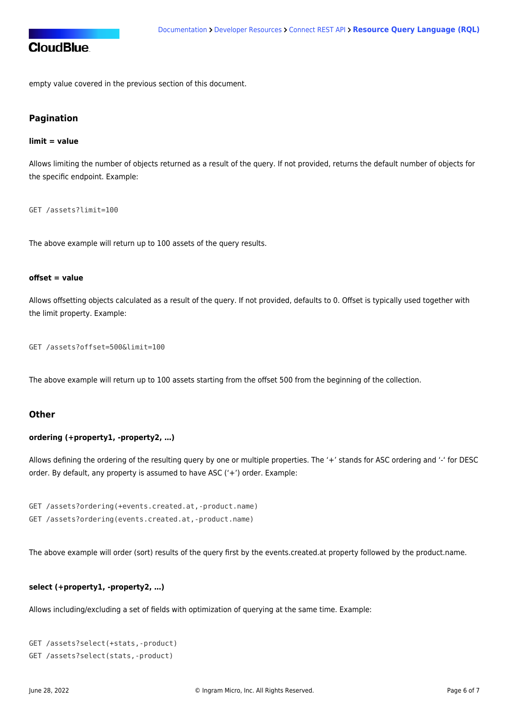empty value covered in the previous section of this document.

## **Pagination**

#### **limit = value**

Allows limiting the number of objects returned as a result of the query. If not provided, returns the default number of objects for the specific endpoint. Example:

GET /assets?limit=100

The above example will return up to 100 assets of the query results.

#### **offset = value**

Allows offsetting objects calculated as a result of the query. If not provided, defaults to 0. Offset is typically used together with the limit property. Example:

GET /assets?offset=500&limit=100

The above example will return up to 100 assets starting from the offset 500 from the beginning of the collection.

#### **Other**

#### **ordering (+property1, -property2, …)**

Allows defining the ordering of the resulting query by one or multiple properties. The '+' stands for ASC ordering and '-' for DESC order. By default, any property is assumed to have ASC ('+') order. Example:

GET /assets?ordering(+events.created.at,-product.name) GET /assets?ordering(events.created.at,-product.name)

The above example will order (sort) results of the query first by the events.created.at property followed by the product.name.

#### **select (+property1, -property2, …)**

Allows including/excluding a set of fields with optimization of querying at the same time. Example:

```
GET /assets?select(+stats,-product)
GET /assets?select(stats,-product)
```